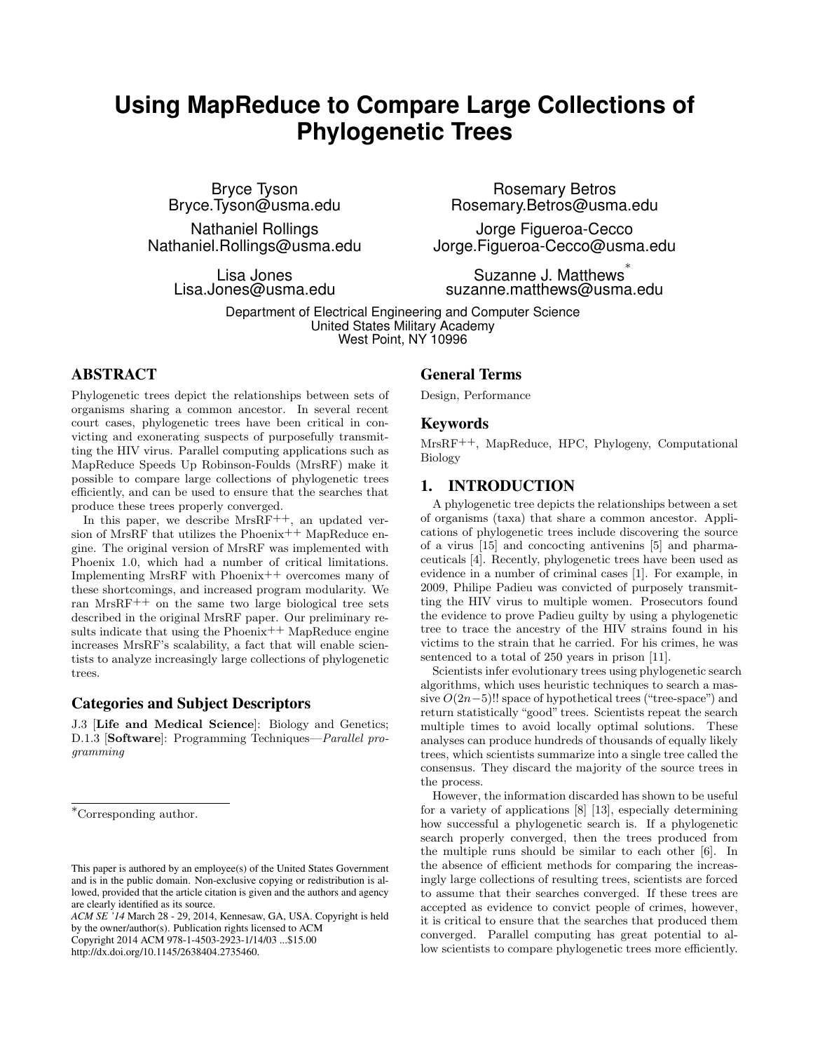# **Using MapReduce to Compare Large Collections of Phylogenetic Trees**

Bryce Tyson Bryce.Tyson@usma.edu

Nathaniel Rollings Nathaniel.Rollings@usma.edu

> Lisa Jones Lisa.Jones@usma.edu

Rosemary Betros Rosemary.Betros@usma.edu

Jorge Figueroa-Cecco Jorge.Figueroa-Cecco@usma.edu

Suzanne J. Matthews ∗ suzanne.matthews@usma.edu

Department of Electrical Engineering and Computer Science United States Military Academy West Point, NY 10996

# ABSTRACT

Phylogenetic trees depict the relationships between sets of organisms sharing a common ancestor. In several recent court cases, phylogenetic trees have been critical in convicting and exonerating suspects of purposefully transmitting the HIV virus. Parallel computing applications such as MapReduce Speeds Up Robinson-Foulds (MrsRF) make it possible to compare large collections of phylogenetic trees efficiently, and can be used to ensure that the searches that produce these trees properly converged.

In this paper, we describe  $MrsRF^{++}$ , an updated version of MrsRF that utilizes the Phoenix<sup>++</sup> MapReduce engine. The original version of MrsRF was implemented with Phoenix 1.0, which had a number of critical limitations. Implementing MrsRF with Phoenix++ overcomes many of these shortcomings, and increased program modularity. We ran MrsRF++ on the same two large biological tree sets described in the original MrsRF paper. Our preliminary results indicate that using the Phoenix<sup>++</sup> MapReduce engine increases MrsRF's scalability, a fact that will enable scientists to analyze increasingly large collections of phylogenetic trees.

# Categories and Subject Descriptors

J.3 [Life and Medical Science]: Biology and Genetics; D.1.3 [Software]: Programming Techniques—Parallel programming

*ACM SE '14* March 28 - 29, 2014, Kennesaw, GA, USA. Copyright is held by the owner/author(s). Publication rights licensed to ACM

Copyright 2014 ACM 978-1-4503-2923-1/14/03 ...\$15.00

http://dx.doi.org/10.1145/2638404.2735460.

# General Terms

Design, Performance

#### Keywords

MrsRF++, MapReduce, HPC, Phylogeny, Computational Biology

# 1. INTRODUCTION

A phylogenetic tree depicts the relationships between a set of organisms (taxa) that share a common ancestor. Applications of phylogenetic trees include discovering the source of a virus [15] and concocting antivenins [5] and pharmaceuticals [4]. Recently, phylogenetic trees have been used as evidence in a number of criminal cases [1]. For example, in 2009, Philipe Padieu was convicted of purposely transmitting the HIV virus to multiple women. Prosecutors found the evidence to prove Padieu guilty by using a phylogenetic tree to trace the ancestry of the HIV strains found in his victims to the strain that he carried. For his crimes, he was sentenced to a total of 250 years in prison [11].

Scientists infer evolutionary trees using phylogenetic search algorithms, which uses heuristic techniques to search a massive  $O(2n-5)$ !! space of hypothetical trees ("tree-space") and return statistically "good" trees. Scientists repeat the search multiple times to avoid locally optimal solutions. These analyses can produce hundreds of thousands of equally likely trees, which scientists summarize into a single tree called the consensus. They discard the majority of the source trees in the process.

However, the information discarded has shown to be useful for a variety of applications [8] [13], especially determining how successful a phylogenetic search is. If a phylogenetic search properly converged, then the trees produced from the multiple runs should be similar to each other [6]. In the absence of efficient methods for comparing the increasingly large collections of resulting trees, scientists are forced to assume that their searches converged. If these trees are accepted as evidence to convict people of crimes, however, it is critical to ensure that the searches that produced them converged. Parallel computing has great potential to allow scientists to compare phylogenetic trees more efficiently.

<sup>∗</sup>Corresponding author.

This paper is authored by an employee(s) of the United States Government and is in the public domain. Non-exclusive copying or redistribution is allowed, provided that the article citation is given and the authors and agency are clearly identified as its source.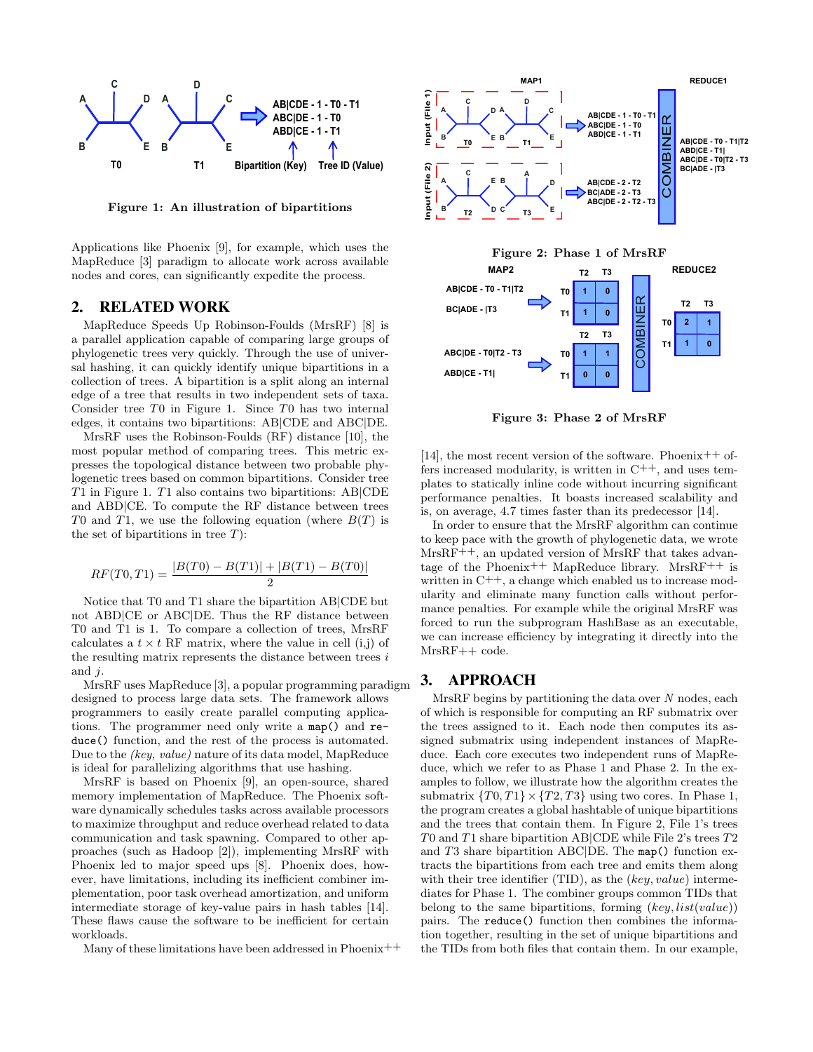

Figure 1: An illustration of bipartitions

Applications like Phoenix [9], for example, which uses the MapReduce [3] paradigm to allocate work across available nodes and cores, can significantly expedite the process.

# 2. RELATED WORK

MapReduce Speeds Up Robinson-Foulds (MrsRF) [8] is a parallel application capable of comparing large groups of phylogenetic trees very quickly. Through the use of universal hashing, it can quickly identify unique bipartitions in a collection of trees. A bipartition is a split along an internal edge of a tree that results in two independent sets of taxa. Consider tree T0 in Figure 1. Since T0 has two internal edges, it contains two bipartitions: AB|CDE and ABC|DE.

MrsRF uses the Robinson-Foulds (RF) distance [10], the most popular method of comparing trees. This metric expresses the topological distance between two probable phylogenetic trees based on common bipartitions. Consider tree T1 in Figure 1. T1 also contains two bipartitions: AB|CDE and ABD|CE. To compute the RF distance between trees T0 and T1, we use the following equation (where  $B(T)$  is the set of bipartitions in tree  $T$ ):

$$
RF(T0,T1) = \frac{|B(T0) - B(T1)| + |B(T1) - B(T0)|}{2}
$$

Notice that T0 and T1 share the bipartition AB|CDE but not ABD|CE or ABC|DE. Thus the RF distance between T0 and T1 is 1. To compare a collection of trees, MrsRF calculates a  $t \times t$  RF matrix, where the value in cell (i,j) of the resulting matrix represents the distance between trees  $i$ and  $j$ .

MrsRF uses MapReduce [3], a popular programming paradigm designed to process large data sets. The framework allows programmers to easily create parallel computing applications. The programmer need only write a map() and reduce() function, and the rest of the process is automated. Due to the (key, value) nature of its data model, MapReduce is ideal for parallelizing algorithms that use hashing.

MrsRF is based on Phoenix [9], an open-source, shared memory implementation of MapReduce. The Phoenix software dynamically schedules tasks across available processors to maximize throughput and reduce overhead related to data communication and task spawning. Compared to other approaches (such as Hadoop [2]), implementing MrsRF with Phoenix led to major speed ups [8]. Phoenix does, however, have limitations, including its inefficient combiner implementation, poor task overhead amortization, and uniform intermediate storage of key-value pairs in hash tables [14]. These flaws cause the software to be inefficient for certain workloads.

Many of these limitations have been addressed in Phoenix<sup>++</sup>



Figure 3: Phase 2 of MrsRF

[14], the most recent version of the software. Phoenix<sup>++</sup> offers increased modularity, is written in  $C^{++}$ , and uses templates to statically inline code without incurring significant performance penalties. It boasts increased scalability and is, on average, 4.7 times faster than its predecessor [14].

In order to ensure that the MrsRF algorithm can continue to keep pace with the growth of phylogenetic data, we wrote MrsRF++, an updated version of MrsRF that takes advantage of the Phoenix<sup>++</sup> MapReduce library. MrsRF<sup>++</sup> is written in  $C^{++}$ , a change which enabled us to increase modularity and eliminate many function calls without performance penalties. For example while the original MrsRF was forced to run the subprogram HashBase as an executable, we can increase efficiency by integrating it directly into the MrsRF++ code.

# 3. APPROACH

MrsRF begins by partitioning the data over  $N$  nodes, each of which is responsible for computing an RF submatrix over the trees assigned to it. Each node then computes its assigned submatrix using independent instances of MapReduce. Each core executes two independent runs of MapReduce, which we refer to as Phase 1 and Phase 2. In the examples to follow, we illustrate how the algorithm creates the submatrix  $\{T0, T1\} \times \{T2, T3\}$  using two cores. In Phase 1, the program creates a global hashtable of unique bipartitions and the trees that contain them. In Figure 2, File 1's trees T0 and T1 share bipartition AB|CDE while File 2's trees T2 and T3 share bipartition ABC|DE. The map() function extracts the bipartitions from each tree and emits them along with their tree identifier (TID), as the  $(key, value)$  intermediates for Phase 1. The combiner groups common TIDs that belong to the same bipartitions, forming  $(key, list(value))$ pairs. The reduce() function then combines the information together, resulting in the set of unique bipartitions and the TIDs from both files that contain them. In our example,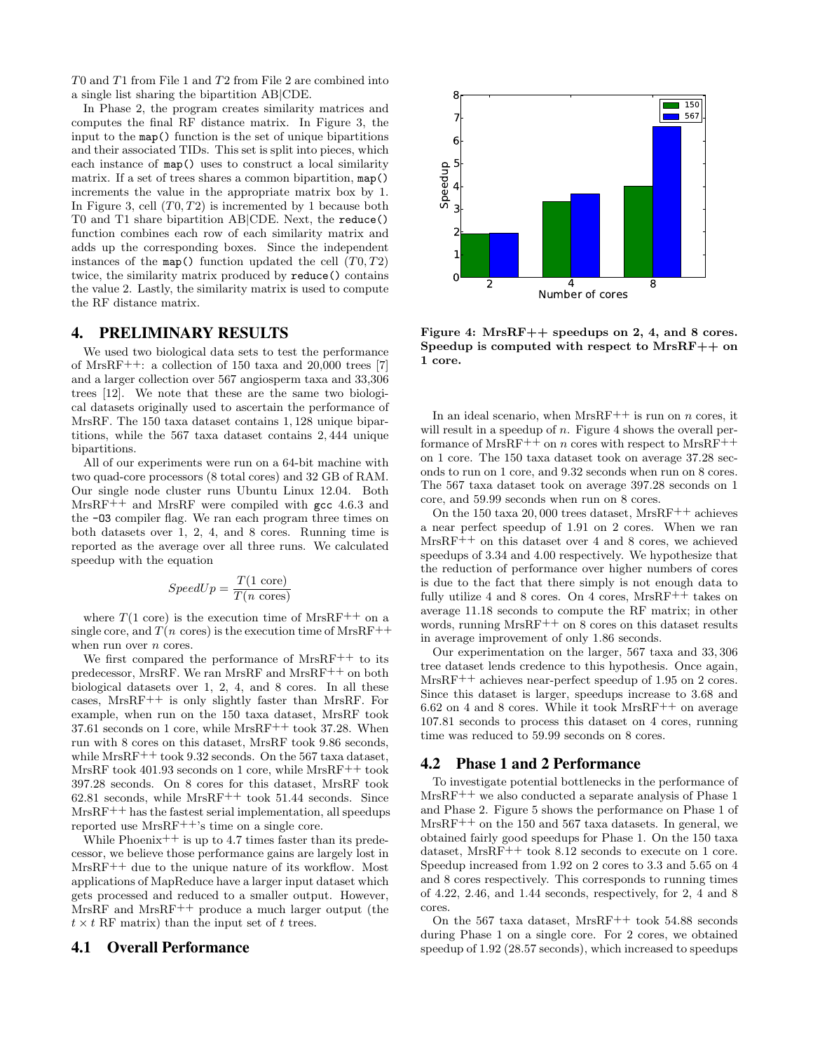T0 and T1 from File 1 and T2 from File 2 are combined into a single list sharing the bipartition AB|CDE.

In Phase 2, the program creates similarity matrices and computes the final RF distance matrix. In Figure 3, the input to the map() function is the set of unique bipartitions and their associated TIDs. This set is split into pieces, which each instance of map() uses to construct a local similarity matrix. If a set of trees shares a common bipartition, map() increments the value in the appropriate matrix box by 1. In Figure 3, cell  $(T0, T2)$  is incremented by 1 because both T0 and T1 share bipartition AB|CDE. Next, the reduce() function combines each row of each similarity matrix and adds up the corresponding boxes. Since the independent instances of the map() function updated the cell  $(T0, T2)$ twice, the similarity matrix produced by reduce() contains the value 2. Lastly, the similarity matrix is used to compute the RF distance matrix.

### 4. PRELIMINARY RESULTS

We used two biological data sets to test the performance of MrsRF++: a collection of 150 taxa and 20,000 trees [7] and a larger collection over 567 angiosperm taxa and 33,306 trees [12]. We note that these are the same two biological datasets originally used to ascertain the performance of MrsRF. The 150 taxa dataset contains 1, 128 unique bipartitions, while the 567 taxa dataset contains 2, 444 unique bipartitions.

All of our experiments were run on a 64-bit machine with two quad-core processors (8 total cores) and 32 GB of RAM. Our single node cluster runs Ubuntu Linux 12.04. Both  $MrsRF++$  and MrsRF were compiled with gcc 4.6.3 and the -O3 compiler flag. We ran each program three times on both datasets over 1, 2, 4, and 8 cores. Running time is reported as the average over all three runs. We calculated speedup with the equation

$$
SpeedUp = \frac{T(1 \text{ core})}{T(n \text{ cores})}
$$

where  $T(1 \text{ core})$  is the execution time of MrsRF<sup>++</sup> on a single core, and  $T(n \text{ cores})$  is the execution time of MrsRF<sup>++</sup> when run over *n* cores.

We first compared the performance of MrsRF<sup>++</sup> to its predecessor, MrsRF. We ran MrsRF and MrsRF++ on both biological datasets over 1, 2, 4, and 8 cores. In all these cases, MrsRF++ is only slightly faster than MrsRF. For example, when run on the 150 taxa dataset, MrsRF took  $37.61$  seconds on 1 core, while MrsRF<sup>++</sup> took 37.28. When run with 8 cores on this dataset, MrsRF took 9.86 seconds, while  $MrsRF^{++}$  took 9.32 seconds. On the 567 taxa dataset, MrsRF took 401.93 seconds on 1 core, while MrsRF++ took 397.28 seconds. On 8 cores for this dataset, MrsRF took 62.81 seconds, while MrsRF++ took 51.44 seconds. Since MrsRF++ has the fastest serial implementation, all speedups reported use MrsRF++'s time on a single core.

While Phoenix<sup>++</sup> is up to 4.7 times faster than its predecessor, we believe those performance gains are largely lost in MrsRF++ due to the unique nature of its workflow. Most applications of MapReduce have a larger input dataset which gets processed and reduced to a smaller output. However, MrsRF and MrsRF++ produce a much larger output (the  $t \times t$  RF matrix) than the input set of t trees.

#### 4.1 Overall Performance



Figure 4: MrsRF++ speedups on 2, 4, and 8 cores. Speedup is computed with respect to  $MrsRF++$  on 1 core.

In an ideal scenario, when  $MrsRF++$  is run on n cores, it will result in a speedup of  $n$ . Figure 4 shows the overall performance of MrsRF<sup>++</sup> on *n* cores with respect to MrsRF<sup>++</sup> on 1 core. The 150 taxa dataset took on average 37.28 seconds to run on 1 core, and 9.32 seconds when run on 8 cores. The 567 taxa dataset took on average 397.28 seconds on 1 core, and 59.99 seconds when run on 8 cores.

On the 150 taxa 20, 000 trees dataset, MrsRF++ achieves a near perfect speedup of 1.91 on 2 cores. When we ran MrsRF++ on this dataset over 4 and 8 cores, we achieved speedups of 3.34 and 4.00 respectively. We hypothesize that the reduction of performance over higher numbers of cores is due to the fact that there simply is not enough data to fully utilize 4 and 8 cores. On 4 cores,  $MrsRF++$  takes on average 11.18 seconds to compute the RF matrix; in other words, running  $MrsRF^{++}$  on 8 cores on this dataset results in average improvement of only 1.86 seconds.

Our experimentation on the larger, 567 taxa and 33, 306 tree dataset lends credence to this hypothesis. Once again, MrsRF<sup>++</sup> achieves near-perfect speedup of 1.95 on 2 cores. Since this dataset is larger, speedups increase to 3.68 and  $6.62$  on 4 and 8 cores. While it took MrsRF<sup>++</sup> on average 107.81 seconds to process this dataset on 4 cores, running time was reduced to 59.99 seconds on 8 cores.

#### 4.2 Phase 1 and 2 Performance

To investigate potential bottlenecks in the performance of MrsRF++ we also conducted a separate analysis of Phase 1 and Phase 2. Figure 5 shows the performance on Phase 1 of MrsRF++ on the 150 and 567 taxa datasets. In general, we obtained fairly good speedups for Phase 1. On the 150 taxa dataset, MrsRF<sup>++</sup> took 8.12 seconds to execute on 1 core. Speedup increased from 1.92 on 2 cores to 3.3 and 5.65 on 4 and 8 cores respectively. This corresponds to running times of 4.22, 2.46, and 1.44 seconds, respectively, for 2, 4 and 8 cores.

On the 567 taxa dataset, MrsRF++ took 54.88 seconds during Phase 1 on a single core. For 2 cores, we obtained speedup of 1.92 (28.57 seconds), which increased to speedups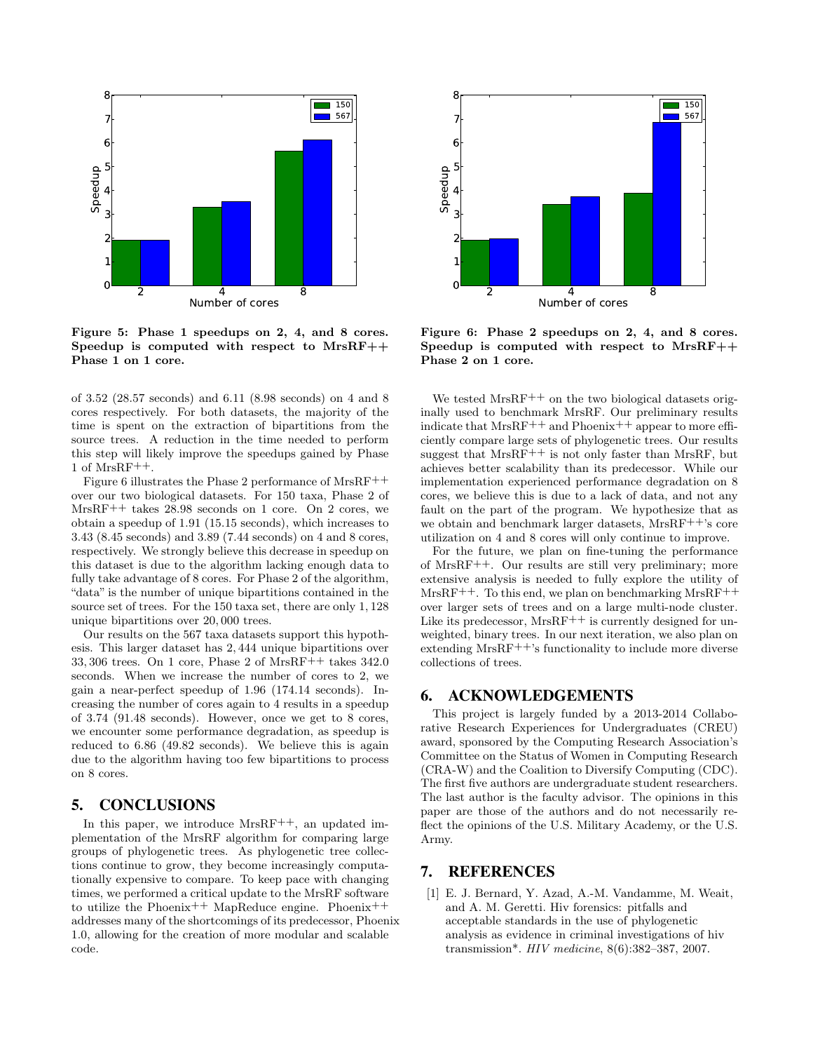

Figure 5: Phase 1 speedups on 2, 4, and 8 cores. Speedup is computed with respect to  $MrsRF++$ Phase 1 on 1 core.

of 3.52 (28.57 seconds) and 6.11 (8.98 seconds) on 4 and 8 cores respectively. For both datasets, the majority of the time is spent on the extraction of bipartitions from the source trees. A reduction in the time needed to perform this step will likely improve the speedups gained by Phase 1 of MrsRF++.

Figure 6 illustrates the Phase 2 performance of MrsRF++ over our two biological datasets. For 150 taxa, Phase 2 of MrsRF++ takes 28.98 seconds on 1 core. On 2 cores, we obtain a speedup of 1.91 (15.15 seconds), which increases to 3.43 (8.45 seconds) and 3.89 (7.44 seconds) on 4 and 8 cores, respectively. We strongly believe this decrease in speedup on this dataset is due to the algorithm lacking enough data to fully take advantage of 8 cores. For Phase 2 of the algorithm, "data" is the number of unique bipartitions contained in the source set of trees. For the 150 taxa set, there are only 1, 128 unique bipartitions over 20, 000 trees.

Our results on the 567 taxa datasets support this hypothesis. This larger dataset has 2, 444 unique bipartitions over 33, 306 trees. On 1 core, Phase 2 of MrsRF++ takes 342.0 seconds. When we increase the number of cores to 2, we gain a near-perfect speedup of 1.96 (174.14 seconds). Increasing the number of cores again to 4 results in a speedup of 3.74 (91.48 seconds). However, once we get to 8 cores, we encounter some performance degradation, as speedup is reduced to 6.86 (49.82 seconds). We believe this is again due to the algorithm having too few bipartitions to process on 8 cores.

## 5. CONCLUSIONS

In this paper, we introduce  $MrsRF^{++}$ , an updated implementation of the MrsRF algorithm for comparing large groups of phylogenetic trees. As phylogenetic tree collections continue to grow, they become increasingly computationally expensive to compare. To keep pace with changing times, we performed a critical update to the MrsRF software to utilize the Phoenix<sup>++</sup> MapReduce engine. Phoenix<sup>++</sup> addresses many of the shortcomings of its predecessor, Phoenix 1.0, allowing for the creation of more modular and scalable code.



Figure 6: Phase 2 speedups on 2, 4, and 8 cores. Speedup is computed with respect to MrsRF++ Phase 2 on 1 core.

We tested MrsRF<sup>++</sup> on the two biological datasets originally used to benchmark MrsRF. Our preliminary results indicate that  $MrsRF++$  and Phoenix++ appear to more efficiently compare large sets of phylogenetic trees. Our results suggest that MrsRF<sup>++</sup> is not only faster than MrsRF, but achieves better scalability than its predecessor. While our implementation experienced performance degradation on 8 cores, we believe this is due to a lack of data, and not any fault on the part of the program. We hypothesize that as we obtain and benchmark larger datasets, MrsRF++'s core utilization on 4 and 8 cores will only continue to improve.

For the future, we plan on fine-tuning the performance of MrsRF++. Our results are still very preliminary; more extensive analysis is needed to fully explore the utility of  $MrsRF^{++}$ . To this end, we plan on benchmarking  $MrsRF^{++}$ over larger sets of trees and on a large multi-node cluster. Like its predecessor,  $MrsRF++$  is currently designed for unweighted, binary trees. In our next iteration, we also plan on extending MrsRF++'s functionality to include more diverse collections of trees.

## 6. ACKNOWLEDGEMENTS

This project is largely funded by a 2013-2014 Collaborative Research Experiences for Undergraduates (CREU) award, sponsored by the Computing Research Association's Committee on the Status of Women in Computing Research (CRA-W) and the Coalition to Diversify Computing (CDC). The first five authors are undergraduate student researchers. The last author is the faculty advisor. The opinions in this paper are those of the authors and do not necessarily reflect the opinions of the U.S. Military Academy, or the U.S. Army.

## 7. REFERENCES

[1] E. J. Bernard, Y. Azad, A.-M. Vandamme, M. Weait, and A. M. Geretti. Hiv forensics: pitfalls and acceptable standards in the use of phylogenetic analysis as evidence in criminal investigations of hiv transmission\*. HIV medicine, 8(6):382–387, 2007.